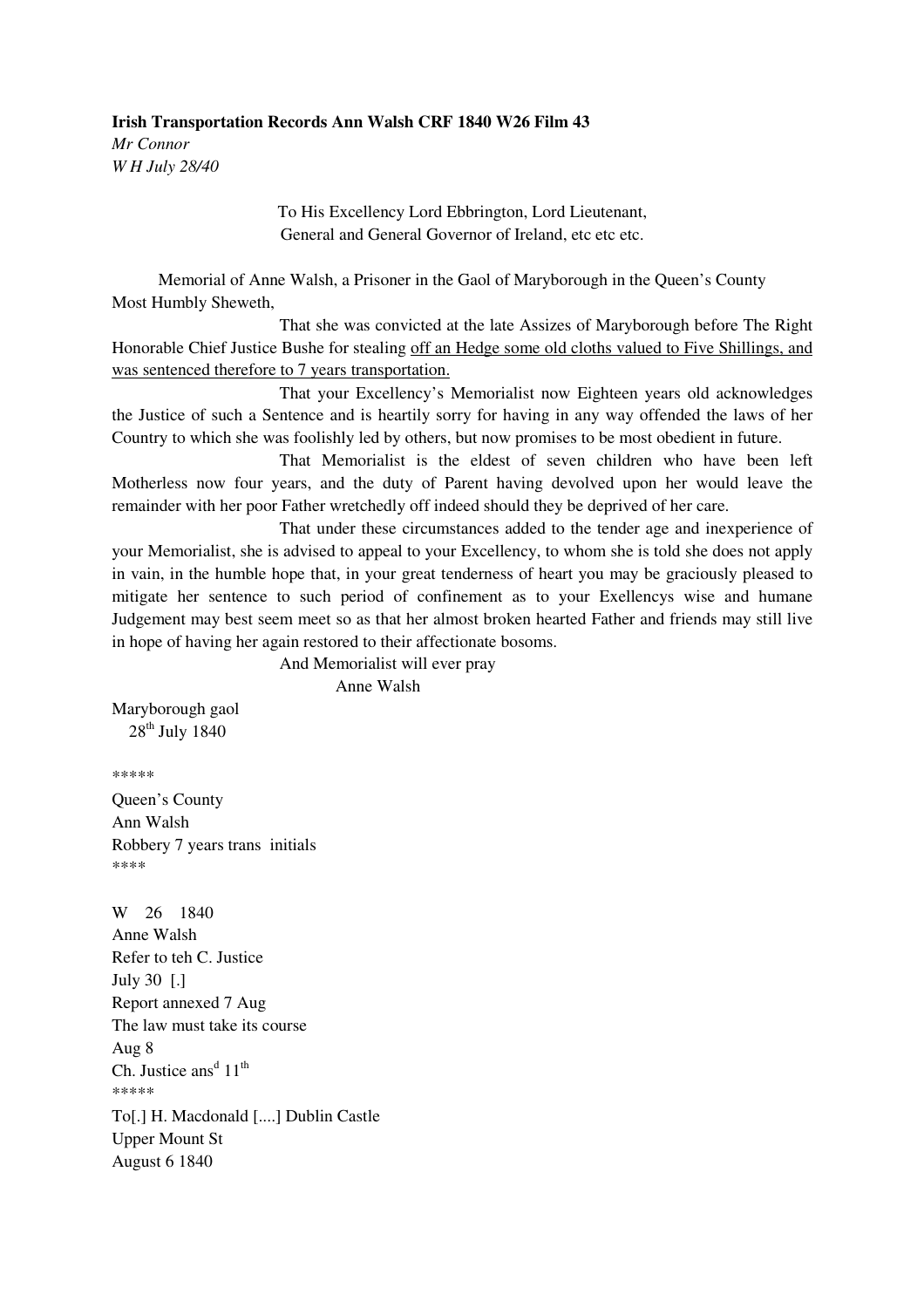**Irish Transportation Records Ann Walsh CRF 1840 W26 Film 43**  *Mr Connor W H July 28/40* 

> To His Excellency Lord Ebbrington, Lord Lieutenant, General and General Governor of Ireland, etc etc etc.

Memorial of Anne Walsh, a Prisoner in the Gaol of Maryborough in the Queen's County Most Humbly Sheweth,

 That she was convicted at the late Assizes of Maryborough before The Right Honorable Chief Justice Bushe for stealing off an Hedge some old cloths valued to Five Shillings, and was sentenced therefore to 7 years transportation.

 That your Excellency's Memorialist now Eighteen years old acknowledges the Justice of such a Sentence and is heartily sorry for having in any way offended the laws of her Country to which she was foolishly led by others, but now promises to be most obedient in future.

 That Memorialist is the eldest of seven children who have been left Motherless now four years, and the duty of Parent having devolved upon her would leave the remainder with her poor Father wretchedly off indeed should they be deprived of her care.

 That under these circumstances added to the tender age and inexperience of your Memorialist, she is advised to appeal to your Excellency, to whom she is told she does not apply in vain, in the humble hope that, in your great tenderness of heart you may be graciously pleased to mitigate her sentence to such period of confinement as to your Exellencys wise and humane Judgement may best seem meet so as that her almost broken hearted Father and friends may still live in hope of having her again restored to their affectionate bosoms.

And Memorialist will ever pray

Anne Walsh

Maryborough gaol 28<sup>th</sup> July 1840

\*\*\*\*\*

Queen's County Ann Walsh Robbery 7 years trans initials \*\*\*\*

W 26 1840 Anne Walsh Refer to teh C. Justice July 30 [.] Report annexed 7 Aug The law must take its course Aug 8 Ch. Justice ans<sup>d</sup>  $11<sup>th</sup>$ .<br>منابع منابع منابع منابع To[.] H. Macdonald [....] Dublin Castle Upper Mount St August 6 1840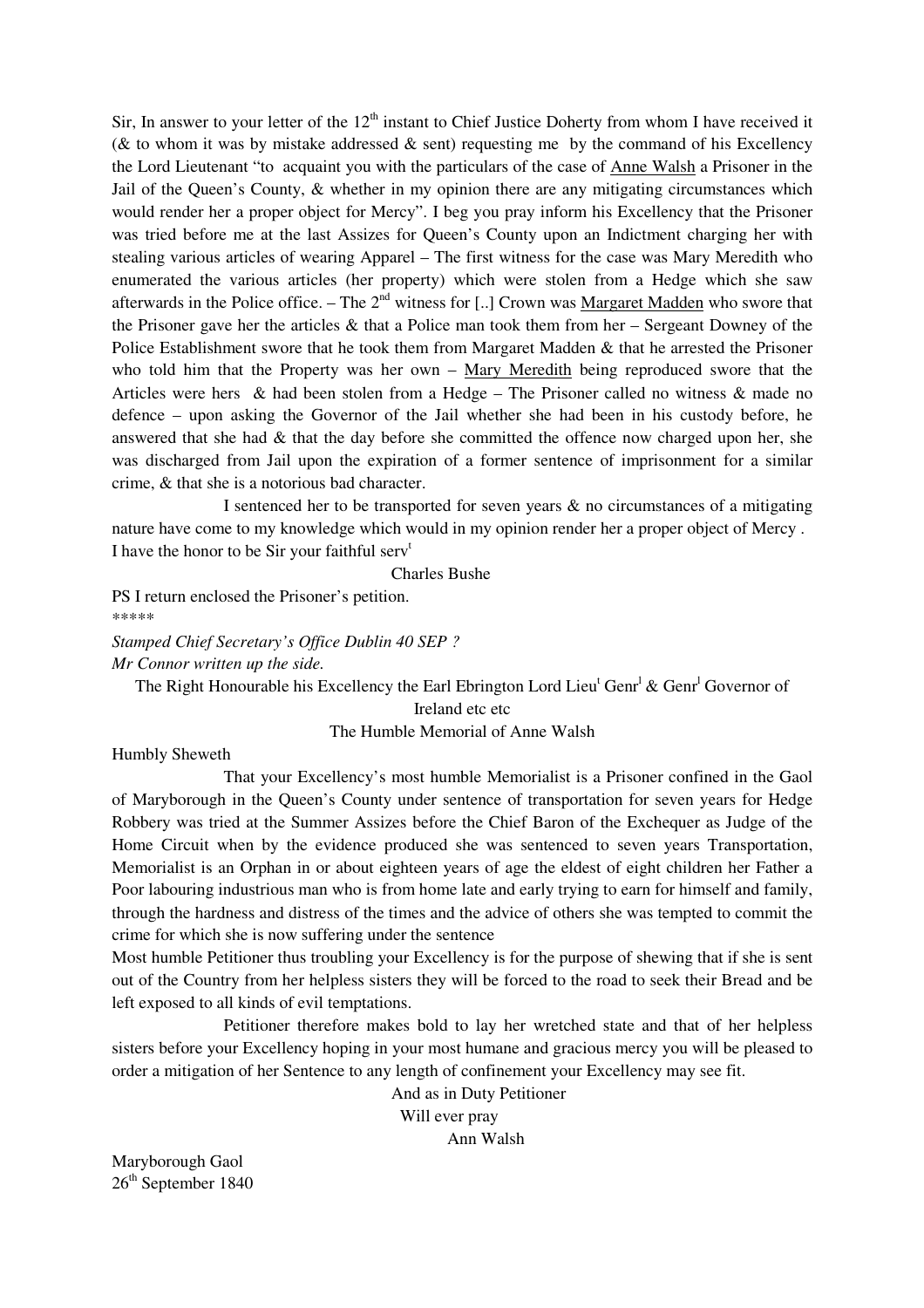Sir, In answer to your letter of the  $12<sup>th</sup>$  instant to Chief Justice Doherty from whom I have received it ( $&$  to whom it was by mistake addressed  $&$  sent) requesting me by the command of his Excellency the Lord Lieutenant "to acquaint you with the particulars of the case of Anne Walsh a Prisoner in the Jail of the Queen's County, & whether in my opinion there are any mitigating circumstances which would render her a proper object for Mercy". I beg you pray inform his Excellency that the Prisoner was tried before me at the last Assizes for Queen's County upon an Indictment charging her with stealing various articles of wearing Apparel – The first witness for the case was Mary Meredith who enumerated the various articles (her property) which were stolen from a Hedge which she saw afterwards in the Police office. – The  $2<sup>nd</sup>$  witness for [..] Crown was Margaret Madden who swore that the Prisoner gave her the articles & that a Police man took them from her – Sergeant Downey of the Police Establishment swore that he took them from Margaret Madden & that he arrested the Prisoner who told him that the Property was her own – Mary Meredith being reproduced swore that the Articles were hers & had been stolen from a Hedge – The Prisoner called no witness & made no defence – upon asking the Governor of the Jail whether she had been in his custody before, he answered that she had  $\&$  that the day before she committed the offence now charged upon her, she was discharged from Jail upon the expiration of a former sentence of imprisonment for a similar crime, & that she is a notorious bad character.

 I sentenced her to be transported for seven years & no circumstances of a mitigating nature have come to my knowledge which would in my opinion render her a proper object of Mercy . I have the honor to be Sir your faithful serv<sup>t</sup>

Charles Bushe

PS I return enclosed the Prisoner's petition. \*\*\*\*\*

*Stamped Chief Secretary's Office Dublin 40 SEP ? Mr Connor written up the side.* 

The Right Honourable his Excellency the Earl Ebrington Lord Lieu<sup>t</sup> Genr<sup>1</sup> & Genr<sup>1</sup> Governor of

Ireland etc etc The Humble Memorial of Anne Walsh

Humbly Sheweth

 That your Excellency's most humble Memorialist is a Prisoner confined in the Gaol of Maryborough in the Queen's County under sentence of transportation for seven years for Hedge Robbery was tried at the Summer Assizes before the Chief Baron of the Exchequer as Judge of the Home Circuit when by the evidence produced she was sentenced to seven years Transportation, Memorialist is an Orphan in or about eighteen years of age the eldest of eight children her Father a Poor labouring industrious man who is from home late and early trying to earn for himself and family, through the hardness and distress of the times and the advice of others she was tempted to commit the crime for which she is now suffering under the sentence

Most humble Petitioner thus troubling your Excellency is for the purpose of shewing that if she is sent out of the Country from her helpless sisters they will be forced to the road to seek their Bread and be left exposed to all kinds of evil temptations.

 Petitioner therefore makes bold to lay her wretched state and that of her helpless sisters before your Excellency hoping in your most humane and gracious mercy you will be pleased to order a mitigation of her Sentence to any length of confinement your Excellency may see fit.

> And as in Duty Petitioner Will ever pray Ann Walsh

Maryborough Gaol 26<sup>th</sup> September 1840